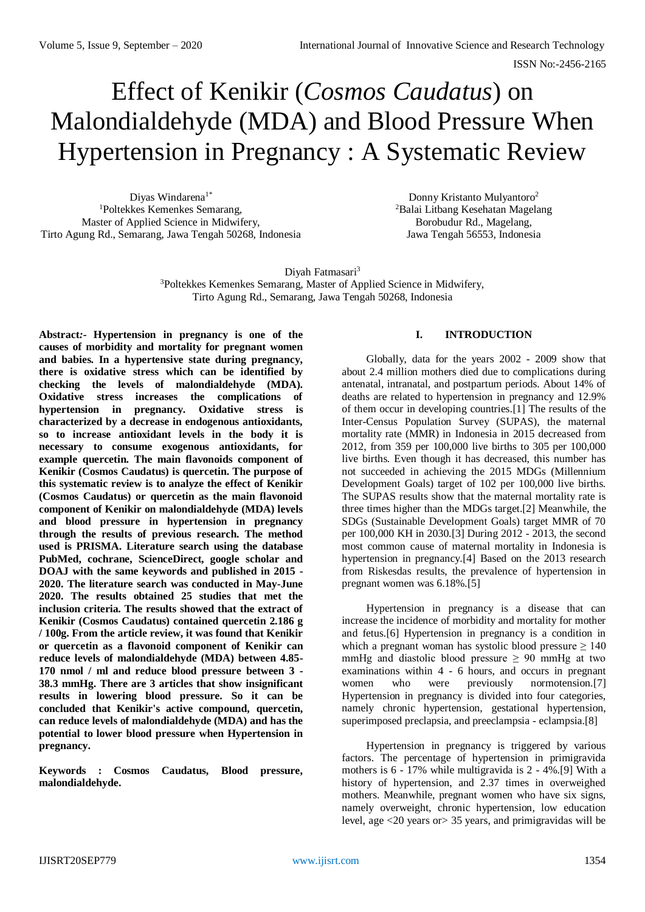# Effect of Kenikir (*Cosmos Caudatus*) on Malondialdehyde (MDA) and Blood Pressure When Hypertension in Pregnancy : A Systematic Review

Diyas Windarena<sup>1\*</sup> <sup>1</sup>Poltekkes Kemenkes Semarang, Master of Applied Science in Midwifery, Tirto Agung Rd., Semarang, Jawa Tengah 50268, Indonesia

Donny Kristanto Mulyantoro<sup>2</sup> <sup>2</sup>Balai Litbang Kesehatan Magelang Borobudur Rd., Magelang, Jawa Tengah 56553, Indonesia

Divah Fatmasari<sup>3</sup> <sup>3</sup>Poltekkes Kemenkes Semarang, Master of Applied Science in Midwifery, Tirto Agung Rd., Semarang, Jawa Tengah 50268, Indonesia

**Abstract***:-* **Hypertension in pregnancy is one of the causes of morbidity and mortality for pregnant women and babies. In a hypertensive state during pregnancy, there is oxidative stress which can be identified by checking the levels of malondialdehyde (MDA). Oxidative stress increases the complications of hypertension in pregnancy. Oxidative stress is characterized by a decrease in endogenous antioxidants, so to increase antioxidant levels in the body it is necessary to consume exogenous antioxidants, for example quercetin. The main flavonoids component of Kenikir (Cosmos Caudatus) is quercetin. The purpose of this systematic review is to analyze the effect of Kenikir (Cosmos Caudatus) or quercetin as the main flavonoid component of Kenikir on malondialdehyde (MDA) levels and blood pressure in hypertension in pregnancy through the results of previous research. The method used is PRISMA. Literature search using the database PubMed, cochrane, ScienceDirect, google scholar and DOAJ with the same keywords and published in 2015 - 2020. The literature search was conducted in May-June 2020. The results obtained 25 studies that met the inclusion criteria. The results showed that the extract of Kenikir (Cosmos Caudatus) contained quercetin 2.186 g / 100g. From the article review, it was found that Kenikir or quercetin as a flavonoid component of Kenikir can reduce levels of malondialdehyde (MDA) between 4.85- 170 nmol / ml and reduce blood pressure between 3 - 38.3 mmHg. There are 3 articles that show insignificant results in lowering blood pressure. So it can be concluded that Kenikir's active compound, quercetin, can reduce levels of malondialdehyde (MDA) and has the potential to lower blood pressure when Hypertension in pregnancy.**

**Keywords : Cosmos Caudatus, Blood pressure, malondialdehyde.**

# **I. INTRODUCTION**

Globally, data for the years 2002 - 2009 show that about 2.4 million mothers died due to complications during antenatal, intranatal, and postpartum periods. About 14% of deaths are related to hypertension in pregnancy and 12.9% of them occur in developing countries.[1] The results of the Inter-Census Population Survey (SUPAS), the maternal mortality rate (MMR) in Indonesia in 2015 decreased from 2012, from 359 per 100,000 live births to 305 per 100,000 live births. Even though it has decreased, this number has not succeeded in achieving the 2015 MDGs (Millennium Development Goals) target of 102 per 100,000 live births. The SUPAS results show that the maternal mortality rate is three times higher than the MDGs target.[2] Meanwhile, the SDGs (Sustainable Development Goals) target MMR of 70 per 100,000 KH in 2030.[3] During 2012 - 2013, the second most common cause of maternal mortality in Indonesia is hypertension in pregnancy.[4] Based on the 2013 research from Riskesdas results, the prevalence of hypertension in pregnant women was 6.18%.[5]

Hypertension in pregnancy is a disease that can increase the incidence of morbidity and mortality for mother and fetus.[6] Hypertension in pregnancy is a condition in which a pregnant woman has systolic blood pressure  $\geq 140$ mmHg and diastolic blood pressure  $\geq 90$  mmHg at two examinations within 4 - 6 hours, and occurs in pregnant women who were previously normotension.[7] Hypertension in pregnancy is divided into four categories, namely chronic hypertension, gestational hypertension, superimposed preclapsia, and preeclampsia - eclampsia.<sup>[8]</sup>

Hypertension in pregnancy is triggered by various factors. The percentage of hypertension in primigravida mothers is 6 - 17% while multigravida is 2 - 4%.[9] With a history of hypertension, and 2.37 times in overweighed mothers. Meanwhile, pregnant women who have six signs, namely overweight, chronic hypertension, low education level, age <20 years or> 35 years, and primigravidas will be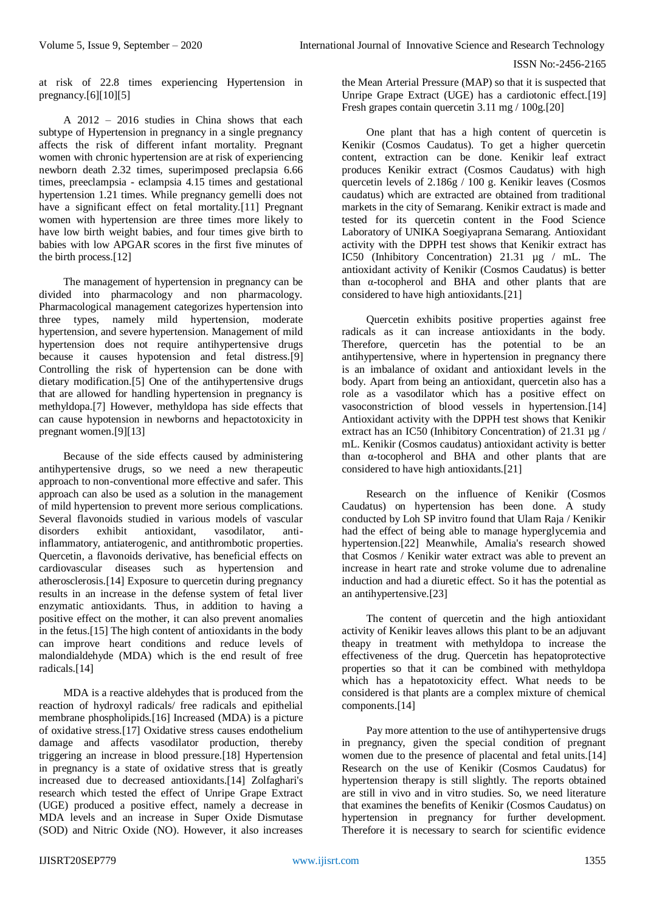at risk of 22.8 times experiencing Hypertension in pregnancy.[6][10][5]

A 2012 – 2016 studies in China shows that each subtype of Hypertension in pregnancy in a single pregnancy affects the risk of different infant mortality. Pregnant women with chronic hypertension are at risk of experiencing newborn death 2.32 times, superimposed preclapsia 6.66 times, preeclampsia - eclampsia 4.15 times and gestational hypertension 1.21 times. While pregnancy gemelli does not have a significant effect on fetal mortality.<sup>[11]</sup> Pregnant women with hypertension are three times more likely to have low birth weight babies, and four times give birth to babies with low APGAR scores in the first five minutes of the birth process.[12]

The management of hypertension in pregnancy can be divided into pharmacology and non pharmacology. Pharmacological management categorizes hypertension into three types, namely mild hypertension, moderate hypertension, and severe hypertension. Management of mild hypertension does not require antihypertensive drugs because it causes hypotension and fetal distress.[9] Controlling the risk of hypertension can be done with dietary modification.[5] One of the antihypertensive drugs that are allowed for handling hypertension in pregnancy is methyldopa.[7] However, methyldopa has side effects that can cause hypotension in newborns and hepactotoxicity in pregnant women.[9][13]

Because of the side effects caused by administering antihypertensive drugs, so we need a new therapeutic approach to non-conventional more effective and safer. This approach can also be used as a solution in the management of mild hypertension to prevent more serious complications. Several flavonoids studied in various models of vascular disorders exhibit antioxidant, vasodilator, antiinflammatory, antiaterogenic, and antithrombotic properties. Quercetin, a flavonoids derivative, has beneficial effects on cardiovascular diseases such as hypertension and atherosclerosis.[14] Exposure to quercetin during pregnancy results in an increase in the defense system of fetal liver enzymatic antioxidants. Thus, in addition to having a positive effect on the mother, it can also prevent anomalies in the fetus.[15] The high content of antioxidants in the body can improve heart conditions and reduce levels of malondialdehyde (MDA) which is the end result of free radicals.[14]

MDA is a reactive aldehydes that is produced from the reaction of hydroxyl radicals/ free radicals and epithelial membrane phospholipids.[16] Increased (MDA) is a picture of oxidative stress.[17] Oxidative stress causes endothelium damage and affects vasodilator production, thereby triggering an increase in blood pressure.[18] Hypertension in pregnancy is a state of oxidative stress that is greatly increased due to decreased antioxidants.[14] Zolfaghari's research which tested the effect of Unripe Grape Extract (UGE) produced a positive effect, namely a decrease in MDA levels and an increase in Super Oxide Dismutase (SOD) and Nitric Oxide (NO). However, it also increases

the Mean Arterial Pressure (MAP) so that it is suspected that Unripe Grape Extract (UGE) has a cardiotonic effect.[19] Fresh grapes contain quercetin 3.11 mg / 100g.[20]

One plant that has a high content of quercetin is Kenikir (Cosmos Caudatus). To get a higher quercetin content, extraction can be done. Kenikir leaf extract produces Kenikir extract (Cosmos Caudatus) with high quercetin levels of 2.186g / 100 g. Kenikir leaves (Cosmos caudatus) which are extracted are obtained from traditional markets in the city of Semarang. Kenikir extract is made and tested for its quercetin content in the Food Science Laboratory of UNIKA Soegiyaprana Semarang. Antioxidant activity with the DPPH test shows that Kenikir extract has IC50 (Inhibitory Concentration) 21.31 µg / mL. The antioxidant activity of Kenikir (Cosmos Caudatus) is better than α-tocopherol and BHA and other plants that are considered to have high antioxidants.[21]

Quercetin exhibits positive properties against free radicals as it can increase antioxidants in the body. Therefore, quercetin has the potential to be an antihypertensive, where in hypertension in pregnancy there is an imbalance of oxidant and antioxidant levels in the body. Apart from being an antioxidant, quercetin also has a role as a vasodilator which has a positive effect on vasoconstriction of blood vessels in hypertension.[14] Antioxidant activity with the DPPH test shows that Kenikir extract has an IC50 (Inhibitory Concentration) of 21.31 µg / mL. Kenikir (Cosmos caudatus) antioxidant activity is better than α-tocopherol and BHA and other plants that are considered to have high antioxidants.[21]

Research on the influence of Kenikir (Cosmos Caudatus) on hypertension has been done. A study conducted by Loh SP invitro found that Ulam Raja / Kenikir had the effect of being able to manage hyperglycemia and hypertension.[22] Meanwhile, Amalia's research showed that Cosmos / Kenikir water extract was able to prevent an increase in heart rate and stroke volume due to adrenaline induction and had a diuretic effect. So it has the potential as an antihypertensive.[23]

The content of quercetin and the high antioxidant activity of Kenikir leaves allows this plant to be an adjuvant theapy in treatment with methyldopa to increase the effectiveness of the drug. Quercetin has hepatoprotective properties so that it can be combined with methyldopa which has a hepatotoxicity effect. What needs to be considered is that plants are a complex mixture of chemical components.[14]

Pay more attention to the use of antihypertensive drugs in pregnancy, given the special condition of pregnant women due to the presence of placental and fetal units.[14] Research on the use of Kenikir (Cosmos Caudatus) for hypertension therapy is still slightly. The reports obtained are still in vivo and in vitro studies. So, we need literature that examines the benefits of Kenikir (Cosmos Caudatus) on hypertension in pregnancy for further development. Therefore it is necessary to search for scientific evidence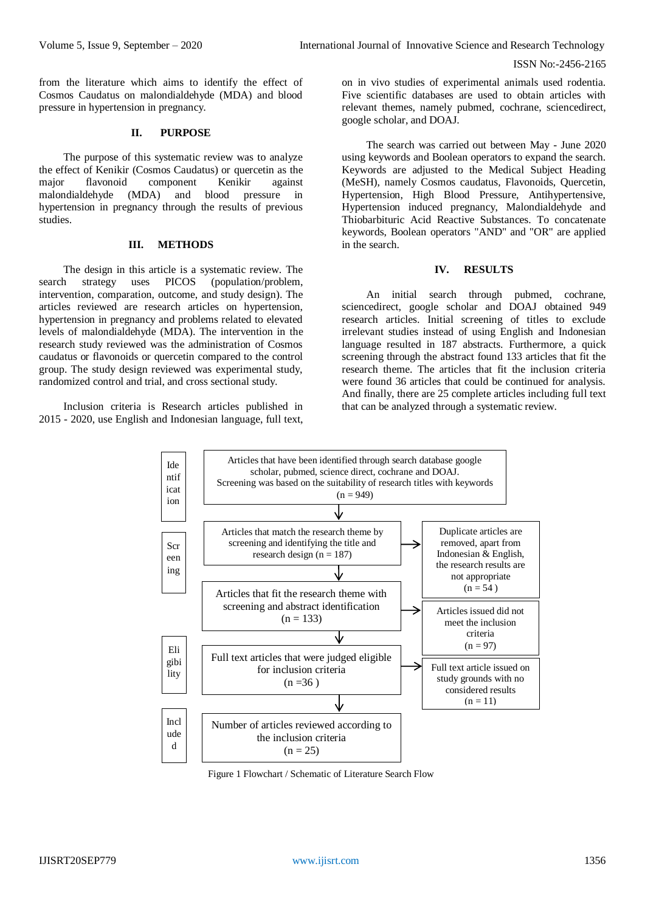from the literature which aims to identify the effect of Cosmos Caudatus on malondialdehyde (MDA) and blood pressure in hypertension in pregnancy*.*

#### **II. PURPOSE**

The purpose of this systematic review was to analyze the effect of Kenikir (Cosmos Caudatus) or quercetin as the major flavonoid component Kenikir against malondialdehyde (MDA) and blood pressure in hypertension in pregnancy through the results of previous studies.

### **III. METHODS**

The design in this article is a systematic review. The search strategy uses PICOS (population/problem, intervention, comparation, outcome, and study design). The articles reviewed are research articles on hypertension, hypertension in pregnancy and problems related to elevated levels of malondialdehyde (MDA). The intervention in the research study reviewed was the administration of Cosmos caudatus or flavonoids or quercetin compared to the control group. The study design reviewed was experimental study, randomized control and trial, and cross sectional study.

Inclusion criteria is Research articles published in 2015 - 2020, use English and Indonesian language, full text, on in vivo studies of experimental animals used rodentia. Five scientific databases are used to obtain articles with relevant themes, namely pubmed, cochrane, sciencedirect, google scholar, and DOAJ.

The search was carried out between May - June 2020 using keywords and Boolean operators to expand the search. Keywords are adjusted to the Medical Subject Heading (MeSH), namely Cosmos caudatus, Flavonoids, Quercetin, Hypertension, High Blood Pressure, Antihypertensive, Hypertension induced pregnancy, Malondialdehyde and Thiobarbituric Acid Reactive Substances. To concatenate keywords, Boolean operators "AND" and "OR" are applied in the search.

#### **IV. RESULTS**

An initial search through pubmed, cochrane, sciencedirect, google scholar and DOAJ obtained 949 research articles. Initial screening of titles to exclude irrelevant studies instead of using English and Indonesian language resulted in 187 abstracts. Furthermore, a quick screening through the abstract found 133 articles that fit the research theme. The articles that fit the inclusion criteria were found 36 articles that could be continued for analysis. And finally, there are 25 complete articles including full text that can be analyzed through a systematic review.



Figure 1 Flowchart / Schematic of Literature Search Flow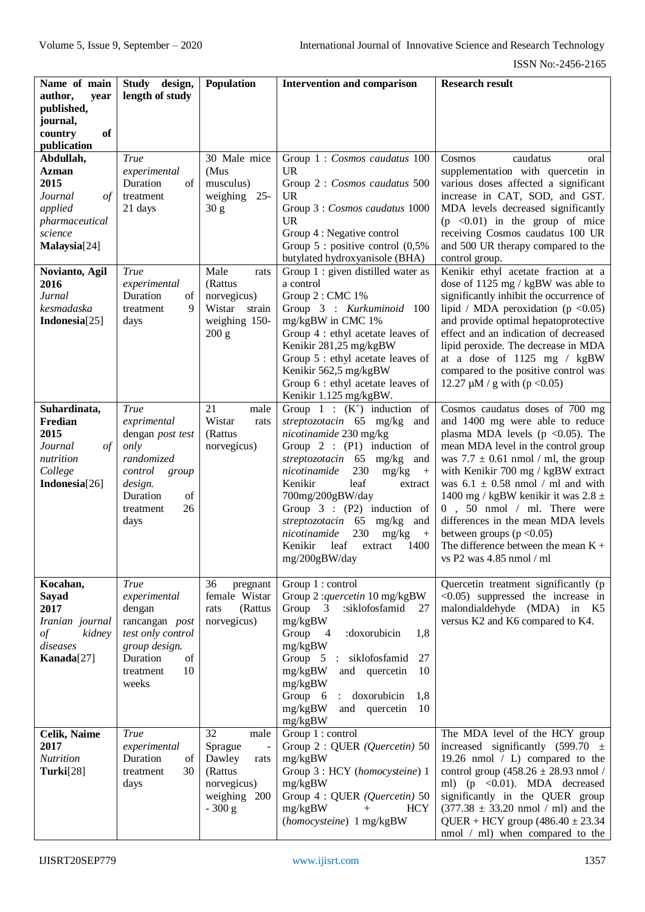| Name of main              | Study design,                     | Population                          | <b>Intervention and comparison</b>                                                        | <b>Research result</b>                                                        |
|---------------------------|-----------------------------------|-------------------------------------|-------------------------------------------------------------------------------------------|-------------------------------------------------------------------------------|
| author,<br>year           | length of study                   |                                     |                                                                                           |                                                                               |
| published,                |                                   |                                     |                                                                                           |                                                                               |
| journal,<br>of<br>country |                                   |                                     |                                                                                           |                                                                               |
| publication               |                                   |                                     |                                                                                           |                                                                               |
| Abdullah,                 | True                              | 30 Male mice                        | Group 1 : Cosmos caudatus 100                                                             | Cosmos<br>caudatus<br>oral                                                    |
| <b>Azman</b>              | experimental                      | (Mus                                | <b>UR</b>                                                                                 | supplementation with quercetin in                                             |
| 2015                      | Duration<br>of                    | musculus)                           | Group 2 : Cosmos caudatus 500                                                             | various doses affected a significant                                          |
| Journal<br>of             | treatment                         | weighing<br>$25 -$                  | <b>UR</b>                                                                                 | increase in CAT, SOD, and GST.                                                |
| applied<br>pharmaceutical | 21 days                           | 30 <sub>g</sub>                     | Group 3 : Cosmos caudatus 1000<br><b>UR</b>                                               | MDA levels decreased significantly<br>$(p \le 0.01)$ in the group of mice     |
| science                   |                                   |                                     | Group 4 : Negative control                                                                | receiving Cosmos caudatus 100 UR                                              |
| Malaysia[24]              |                                   |                                     | Group $5$ : positive control $(0,5\%$                                                     | and 500 UR therapy compared to the                                            |
|                           |                                   |                                     | butylated hydroxyanisole (BHA)                                                            | control group.                                                                |
| Novianto, Agil            | True                              | Male<br>rats                        | Group 1 : given distilled water as<br>a control                                           | Kenikir ethyl acetate fraction at a                                           |
| 2016<br>Jurnal            | experimental<br>Duration<br>of    | (Rattus<br>norvegicus)              | Group 2: CMC 1%                                                                           | dose of 1125 mg / kgBW was able to<br>significantly inhibit the occurrence of |
| kesmadaska                | 9<br>treatment                    | Wistar<br>strain                    | Group 3 : Kurkuminoid 100                                                                 | lipid / MDA peroxidation (p < $0.05$ )                                        |
| Indonesia[25]             | days                              | weighing 150-                       | mg/kgBW in CMC 1%                                                                         | and provide optimal hepatoprotective                                          |
|                           |                                   | 200 g                               | Group 4 : ethyl acetate leaves of                                                         | effect and an indication of decreased                                         |
|                           |                                   |                                     | Kenikir 281,25 mg/kgBW<br>Group 5 : ethyl acetate leaves of                               | lipid peroxide. The decrease in MDA<br>at a dose of 1125 mg / kgBW            |
|                           |                                   |                                     | Kenikir 562,5 mg/kgBW                                                                     | compared to the positive control was                                          |
|                           |                                   |                                     | Group 6 : ethyl acetate leaves of                                                         | 12.27 $\mu$ M / g with (p < 0.05)                                             |
|                           |                                   |                                     | Kenikir 1.125 mg/kgBW.                                                                    |                                                                               |
| Suhardinata,<br>Fredian   | <b>True</b><br>exprimental        | 21<br>male<br>Wistar<br>rats        | Group $1 : (K^+)$ induction of<br>streptozotacin 65 mg/kg<br>and                          | Cosmos caudatus doses of 700 mg<br>and 1400 mg were able to reduce            |
| 2015                      | dengan post test                  | (Rattus                             | nicotinamide 230 mg/kg                                                                    | plasma MDA levels ( $p \le 0.05$ ). The                                       |
| $\sigma f$<br>Journal     | only                              | norvegicus)                         | Group $2$ : (P1) induction of                                                             | mean MDA level in the control group                                           |
| nutrition                 | randomized                        |                                     | streptozotacin 65 mg/kg<br>and                                                            | was $7.7 \pm 0.61$ nmol / ml, the group                                       |
| College<br>Indonesia[26]  | control<br>group<br>design.       |                                     | nicotinamide<br>230<br>mg/kg<br>$+$<br>Kenikir<br>leaf<br>extract                         | with Kenikir 700 mg / kgBW extract<br>was $6.1 \pm 0.58$ nmol / ml and with   |
|                           | Duration<br>of                    |                                     | 700mg/200gBW/day                                                                          | 1400 mg / kgBW kenikir it was $2.8 \pm$                                       |
|                           | 26<br>treatment                   |                                     | Group $3: (P2)$ induction of                                                              | $0$ , 50 nmol / ml. There were                                                |
|                           | days                              |                                     | streptozotacin 65<br>$mg/kg$ and                                                          | differences in the mean MDA levels                                            |
|                           |                                   |                                     | nicotinamide<br>230<br>mg/kg<br>$+$<br>Kenikir<br>leaf<br>1400<br>extract                 | between groups $(p < 0.05)$<br>The difference between the mean $K +$          |
|                           |                                   |                                     | mg/200gBW/day                                                                             | vs P2 was 4.85 nmol / ml                                                      |
|                           |                                   |                                     |                                                                                           |                                                                               |
| Kocahan,                  | <b>True</b>                       | 36<br>pregnant                      | Group 1 : control                                                                         | Quercetin treatment significantly (p                                          |
| Sayad<br>2017             | experimental<br>dengan            | female Wistar<br>(Rattus<br>rats    | Group 2: quercetin 10 mg/kgBW<br>Group<br>$\overline{\mathbf{3}}$<br>:siklofosfamid<br>27 | $\leq 0.05$ ) suppressed the increase in<br>malondialdehyde (MDA) in K5       |
| Iranian journal           | rancangan post                    | norvegicus)                         | mg/kgBW                                                                                   | versus K2 and K6 compared to K4.                                              |
| of<br>kidney              | test only control                 |                                     | Group<br>1,8<br>$\overline{\phantom{a}}$<br>:doxorubicin                                  |                                                                               |
| diseases                  | group design.                     |                                     | mg/kgBW                                                                                   |                                                                               |
| Kanada[27]                | Duration<br>of<br>10<br>treatment |                                     | Group 5<br>siklofosfamid<br>27<br>$\ddot{\cdot}$<br>mg/kgBW<br>and quercetin<br>10        |                                                                               |
|                           | weeks                             |                                     | mg/kgBW                                                                                   |                                                                               |
|                           |                                   |                                     | Group 6<br>doxorubicin<br>1,8                                                             |                                                                               |
|                           |                                   |                                     | mg/kgBW<br>and quercetin<br>10                                                            |                                                                               |
| Celik, Naime              | <b>True</b>                       | 32<br>male                          | mg/kgBW<br>Group 1 : control                                                              | The MDA level of the HCY group                                                |
| 2017                      | experimental                      | Sprague<br>$\overline{\phantom{a}}$ | Group 2 : QUER (Quercetin) 50                                                             | increased significantly (599.70 $\pm$                                         |
| Nutrition                 | Duration<br>of                    | Dawley<br>rats                      | mg/kgBW                                                                                   | 19.26 nmol $/$ L) compared to the                                             |
| Turki[28]                 | 30<br>treatment                   | (Rattus                             | Group 3 : HCY (homocysteine) 1                                                            | control group $(458.26 \pm 28.93 \text{ nmol})$                               |
|                           | days                              | norvegicus)<br>weighing 200         | mg/kgBW<br>Group 4 : QUER (Quercetin) 50                                                  | ml) ( $p \leq 0.01$ ). MDA decreased<br>significantly in the QUER group       |
|                           |                                   | $-300 g$                            | <b>HCY</b><br>mg/kgBW<br>$+$                                                              | $(377.38 \pm 33.20 \text{ nmol} / \text{ml})$ and the                         |
|                           |                                   |                                     | (homocysteine) 1 mg/kgBW                                                                  | QUER + HCY group $(486.40 \pm 23.34)$                                         |
|                           |                                   |                                     |                                                                                           | nmol / ml) when compared to the                                               |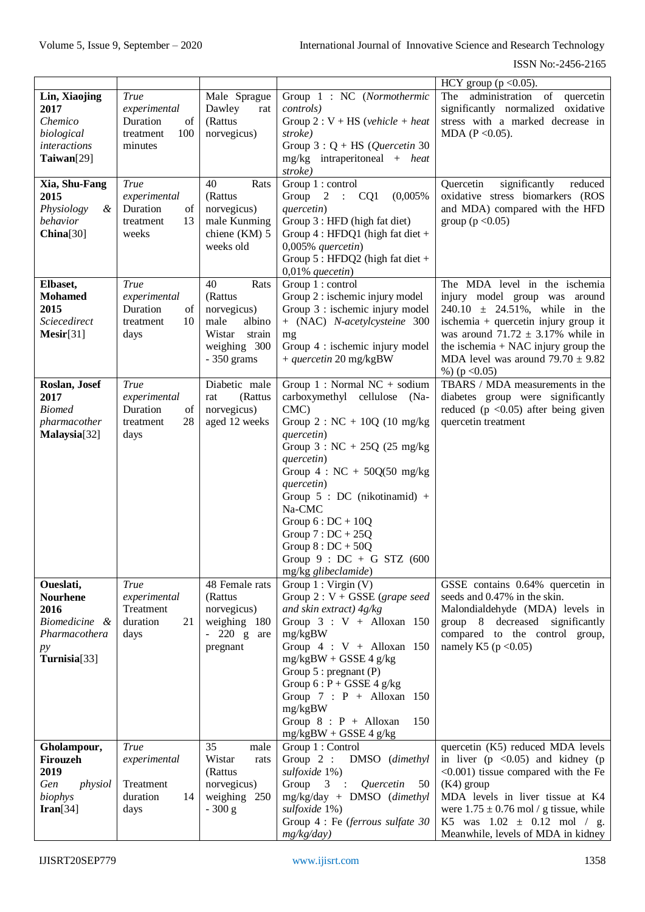|                       |                  |                        |                                                              | HCY group ( $p < 0.05$ ).                                  |
|-----------------------|------------------|------------------------|--------------------------------------------------------------|------------------------------------------------------------|
| Lin, Xiaojing         | <b>True</b>      | Male Sprague           | Group 1 : NC (Normothermic                                   | The administration of<br>quercetin                         |
| 2017                  | experimental     | Dawley<br>rat          | <i>controls</i> )                                            | significantly normalized oxidative                         |
| Chemico               | Duration<br>of   | (Rattus                | Group 2 : $V$ + HS (vehicle + heat                           | stress with a marked decrease in                           |
| biological            | 100<br>treatment | norvegicus)            | stroke)                                                      | MDA ( $P < 0.05$ ).                                        |
| <i>interactions</i>   | minutes          |                        | Group $3: Q + HS$ ( <i>Quercetin</i> 30                      |                                                            |
| Taiwan[29]            |                  |                        | mg/kg intraperitoneal + heat                                 |                                                            |
|                       |                  |                        | stroke)                                                      |                                                            |
| Xia, Shu-Fang         | <b>True</b>      | 40<br>Rats             | Group 1 : control                                            | significantly<br>Quercetin<br>reduced                      |
| 2015                  | experimental     | (Rattus                | Group<br>2 : CO1<br>(0,005%                                  | oxidative stress biomarkers (ROS                           |
| Physiology<br>&       | Duration<br>of   | norvegicus)            | quercetin)                                                   | and MDA) compared with the HFD                             |
| behavior              | 13<br>treatment  | male Kunming           | Group 3 : HFD (high fat diet)                                | group ( $p < 0.05$ )                                       |
| China[30]             | weeks            | chiene (KM) 5          | Group $4$ : HFDQ1 (high fat diet +                           |                                                            |
|                       |                  | weeks old              | $0,005%$ quercetin)                                          |                                                            |
|                       |                  |                        | Group $5: HFDQ2$ (high fat diet +                            |                                                            |
|                       |                  |                        | $0,01\%$ quecetin)                                           |                                                            |
| Elbaset,              | <b>True</b>      | 40<br>Rats             | Group 1 : control                                            | The MDA level in the ischemia                              |
| <b>Mohamed</b>        | experimental     | (Rattus                | Group 2 : ischemic injury model                              | injury model group was around                              |
| 2015                  | Duration<br>of   | norvegicus)            | Group 3 : ischemic injury model                              | $240.10 \pm 24.51\%$ , while in the                        |
| Sciecedirect          | 10<br>treatment  | male<br>albino         | + (NAC) N-acetylcysteine 300                                 | ischemia + quercetin injury group it                       |
| $Mesir[31]$           | days             | Wistar<br>strain       | mg                                                           | was around $71.72 \pm 3.17\%$ while in                     |
|                       |                  | weighing 300           | Group 4 : ischemic injury model                              | the ischemia $+$ NAC injury group the                      |
|                       |                  | $-350$ grams           | + quercetin 20 mg/kgBW                                       | MDA level was around $79.70 \pm 9.82$                      |
|                       |                  |                        |                                                              | %) ( $p < 0.05$ )                                          |
| Roslan, Josef         | <b>True</b>      | Diabetic male          | Group 1 : Normal NC + sodium                                 | TBARS / MDA measurements in the                            |
| 2017<br><b>Biomed</b> | experimental     | (Rattus<br>rat         | carboxymethyl cellulose<br>$(Na-$                            | diabetes group were significantly                          |
|                       | of<br>Duration   | norvegicus)            | CMC                                                          | reduced ( $p \le 0.05$ ) after being given                 |
| pharmacother          | 28<br>treatment  | aged 12 weeks          | Group 2 : $NC + 10Q (10 mg/kg)$                              | quercetin treatment                                        |
| Malaysia[32]          | days             |                        | quercetin)<br>Group $3: NC + 25Q$ (25 mg/kg)                 |                                                            |
|                       |                  |                        | quercetin)                                                   |                                                            |
|                       |                  |                        | Group $4: NC + 50Q(50 mg/kg)$                                |                                                            |
|                       |                  |                        | quercetin)                                                   |                                                            |
|                       |                  |                        | Group $5 : DC$ (nikotinamid) +                               |                                                            |
|                       |                  |                        | Na-CMC                                                       |                                                            |
|                       |                  |                        | Group $6:DC + 10Q$                                           |                                                            |
|                       |                  |                        | Group $7:DC + 25Q$                                           |                                                            |
|                       |                  |                        | Group $8:DC + 50Q$                                           |                                                            |
|                       |                  |                        | Group $9 : DC + G$ STZ (600                                  |                                                            |
|                       |                  |                        | mg/kg glibeclamide)                                          |                                                            |
| Oueslati,             | <b>True</b>      | 48 Female rats         | Group $1: \text{Virgin} (V)$                                 | GSSE contains 0.64% quercetin in                           |
| <b>Nourhene</b>       | experimental     | (Rattus                | Group $2: V + GSSE$ (grape seed                              | seeds and 0.47% in the skin.                               |
| 2016                  | Treatment        | norvegicus)            | and skin extract) $4g/kg$                                    | Malondialdehyde (MDA) levels in                            |
| Biomedicine &         | duration<br>21   | weighing 180           | Group $3: V +$ Alloxan 150                                   | group 8 decreased significantly                            |
| Pharmacothera         | days             | $-220 g$<br>are        | mg/kgBW                                                      | compared to the control group,                             |
| py                    |                  | pregnant               | Group $4: V +$ Alloxan 150                                   | namely K5 ( $p < 0.05$ )                                   |
| Turnisia[33]          |                  |                        | $mg/kgBW + GSSE 4 g/kg$                                      |                                                            |
|                       |                  |                        | Group $5:$ pregnant $(P)$                                    |                                                            |
|                       |                  |                        | Group $6: P + GSSE 4 g/kg$                                   |                                                            |
|                       |                  |                        | Group $7 : P +$ Alloxan 150                                  |                                                            |
|                       |                  |                        | mg/kgBW                                                      |                                                            |
|                       |                  |                        | Group $8$ : $P +$ Alloxan<br>150                             |                                                            |
|                       |                  | 35                     | $mg/kgBW + GSSE 4 g/kg$                                      |                                                            |
| Gholampour,           | <b>True</b>      | male                   | Group 1 : Control                                            | quercetin (K5) reduced MDA levels                          |
| Firouzeh<br>2019      | experimental     | Wistar<br>rats         | Group $2$ :<br>DMSO (dimethyl<br>sulfoxide 1%)               | in liver $(p \le 0.05)$ and kidney $(p \le 0.05)$          |
| Gen<br>physiol        | Treatment        | (Rattus<br>norvegicus) | $\mathfrak{Z}$<br>Group<br>Quercetin<br>50<br>$\ddot{\cdot}$ | $\leq 0.001$ ) tissue compared with the Fe<br>$(K4)$ group |
| biophys               | duration<br>14   | weighing 250           | mg/kg/day + DMSO (dimethyl                                   | MDA levels in liver tissue at K4                           |
| $\text{Iran}[34]$     | days             | $-300 g$               | sulfoxide 1%)                                                | were $1.75 \pm 0.76$ mol / g tissue, while                 |
|                       |                  |                        | Group 4 : Fe (ferrous sulfate 30                             | K5 was $1.02 \pm 0.12$ mol / g.                            |
|                       |                  |                        | mg/kg/day)                                                   | Meanwhile, levels of MDA in kidney                         |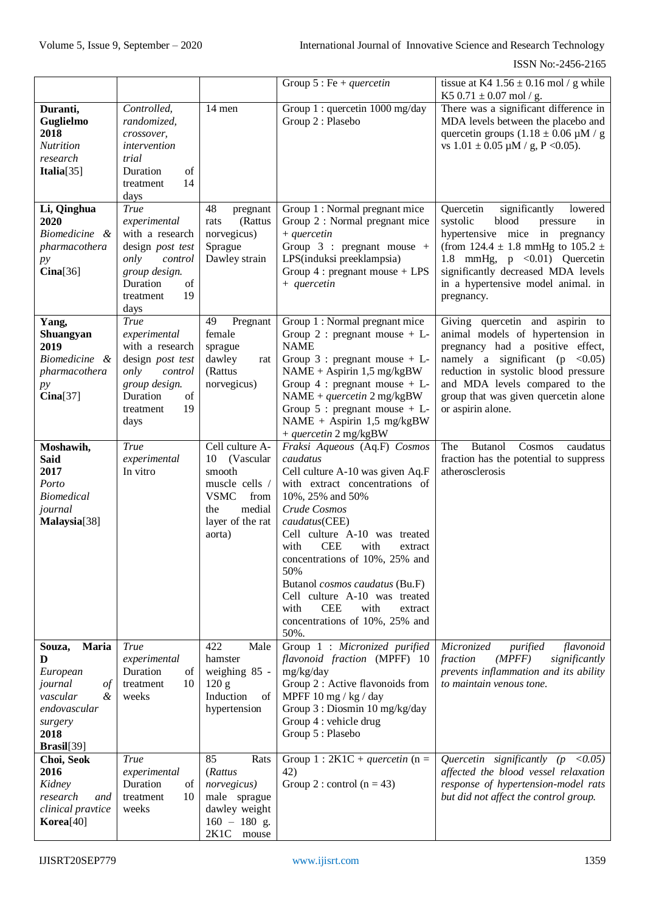|                                                                                                                            |                                                                                                                                                     |                                                                                                                                      | Group $5:Fe + quercetin$                                                                                                                                                                                                                                                                                                                                                                                                                            | tissue at K4 $1.56 \pm 0.16$ mol / g while<br>K5 0.71 $\pm$ 0.07 mol / g.                                                                                                                                                                                                               |
|----------------------------------------------------------------------------------------------------------------------------|-----------------------------------------------------------------------------------------------------------------------------------------------------|--------------------------------------------------------------------------------------------------------------------------------------|-----------------------------------------------------------------------------------------------------------------------------------------------------------------------------------------------------------------------------------------------------------------------------------------------------------------------------------------------------------------------------------------------------------------------------------------------------|-----------------------------------------------------------------------------------------------------------------------------------------------------------------------------------------------------------------------------------------------------------------------------------------|
| Duranti,<br>Guglielmo<br>2018<br><b>Nutrition</b><br>research<br>Italia[35]                                                | Controlled,<br>randomized,<br>crossover,<br>intervention<br>trial<br>Duration<br>of<br>14<br>treatment<br>days                                      | 14 men                                                                                                                               | Group 1 : quercetin 1000 mg/day<br>Group 2 : Plasebo                                                                                                                                                                                                                                                                                                                                                                                                | There was a significant difference in<br>MDA levels between the placebo and<br>quercetin groups $(1.18 \pm 0.06 \mu M / g)$<br>vs $1.01 \pm 0.05$ $\mu$ M / g, P < 0.05).                                                                                                               |
| Li, Qinghua<br>2020<br>Biomedicine &<br>pharmacothera<br>py<br>Cina[36]                                                    | <b>True</b><br>experimental<br>with a research<br>design post test<br>only<br>control<br>group design.<br>Duration<br>of<br>19<br>treatment<br>days | 48<br>pregnant<br>(Rattus<br>rats<br>norvegicus)<br>Sprague<br>Dawley strain                                                         | Group 1 : Normal pregnant mice<br>Group 2 : Normal pregnant mice<br>$+$ quercetin<br>Group $3$ : pregnant mouse +<br>LPS(induksi preeklampsia)<br>Group $4:$ pregnant mouse + LPS<br>$+$ quercetin                                                                                                                                                                                                                                                  | Quercetin<br>significantly<br>lowered<br>systolic<br>blood<br>pressure<br>in<br>hypertensive mice in pregnancy<br>(from 124.4 $\pm$ 1.8 mmHg to 105.2 $\pm$<br>1.8 mmHg, p <0.01) Quercetin<br>significantly decreased MDA levels<br>in a hypertensive model animal. in<br>pregnancy.   |
| Yang,<br>Shuangyan<br>2019<br><i>Biomedicine</i><br>&<br>pharmacothera<br>py<br>Cina[37]                                   | True<br>experimental<br>with a research<br>design post test<br>only<br>control<br>group design.<br>Duration<br>of<br>19<br>treatment<br>days        | 49<br>Pregnant<br>female<br>sprague<br>dawley<br>rat<br>(Rattus<br>norvegicus)                                                       | Group 1 : Normal pregnant mice<br>Group 2 : pregnant mouse + $L$ -<br><b>NAME</b><br>Group $3$ : pregnant mouse + L-<br>$NAME + Aspirin 1,5 mg/kgBW$<br>Group $4$ : pregnant mouse + L-<br>$NAME + quercetin 2 mg/kgBW$<br>Group $5$ : pregnant mouse + L-<br>NAME + Aspirin 1,5 mg/kgBW<br>+ quercetin 2 mg/kgBW                                                                                                                                   | Giving quercetin and aspirin to<br>animal models of hypertension in<br>pregnancy had a positive effect,<br>namely a significant ( $p \lt 0.05$ )<br>reduction in systolic blood pressure<br>and MDA levels compared to the<br>group that was given quercetin alone<br>or aspirin alone. |
| Moshawih,<br><b>Said</b><br>2017<br>Porto<br><b>Biomedical</b><br>journal<br>Malaysia[38]                                  | <b>True</b><br>experimental<br>In vitro                                                                                                             | Cell culture A-<br>(Vascular<br>10<br>smooth<br>muscle cells /<br><b>VSMC</b><br>from<br>medial<br>the<br>layer of the rat<br>aorta) | Fraksi Aqueous (Aq.F) Cosmos<br>caudatus<br>Cell culture A-10 was given Aq.F<br>with extract concentrations of<br>10%, 25% and 50%<br>Crude Cosmos<br>caudatus(CEE)<br>Cell culture A-10 was treated<br><b>CEE</b><br>with<br>with<br>extract<br>concentrations of 10%, 25% and<br>50%<br>Butanol <i>cosmos caudatus</i> (Bu.F)<br>Cell culture A-10 was treated<br>with<br><b>CEE</b><br>with<br>extract<br>concentrations of 10%, 25% and<br>50%. | <b>Butanol</b><br>Cosmos<br>The<br>caudatus<br>fraction has the potential to suppress<br>atherosclerosis                                                                                                                                                                                |
| Souza,<br>Maria<br>D<br>European<br>journal<br>$\circ f$<br>vascular<br>&<br>endovascular<br>surgery<br>2018<br>Brasil[39] | True<br>experimental<br>Duration<br>of<br>10<br>treatment<br>weeks                                                                                  | 422<br>Male<br>hamster<br>weighing 85 -<br>120 g<br>Induction<br>of<br>hypertension                                                  | Group 1 : Micronized purified<br>flavonoid fraction (MPFF) 10<br>mg/kg/day<br>Group 2 : Active flavonoids from<br>MPFF $10 \text{ mg}$ / kg / day<br>Group 3 : Diosmin 10 mg/kg/day<br>Group 4 : vehicle drug<br>Group 5 : Plasebo                                                                                                                                                                                                                  | Micronized<br>purified<br>flavonoid<br>fraction<br>(MPFF)<br>significantly<br>prevents inflammation and its ability<br>to maintain venous tone.                                                                                                                                         |
| Choi, Seok<br>2016<br>Kidney<br>research<br>and<br>clinical pravtice<br>Korea[40]                                          | True<br>experimental<br>Duration<br>of<br>10<br>treatment<br>weeks                                                                                  | 85<br>Rats<br>(Rattus<br>norvegicus)<br>male sprague<br>dawley weight<br>$160 - 180$ g.<br>2K1C mouse                                | Group 1 : $2K1C$ + <i>quercetin</i> (n =<br>42)<br>Group 2 : control $(n = 43)$                                                                                                                                                                                                                                                                                                                                                                     | Quercetin significantly ( $p < 0.05$ )<br>affected the blood vessel relaxation<br>response of hypertension-model rats<br>but did not affect the control group.                                                                                                                          |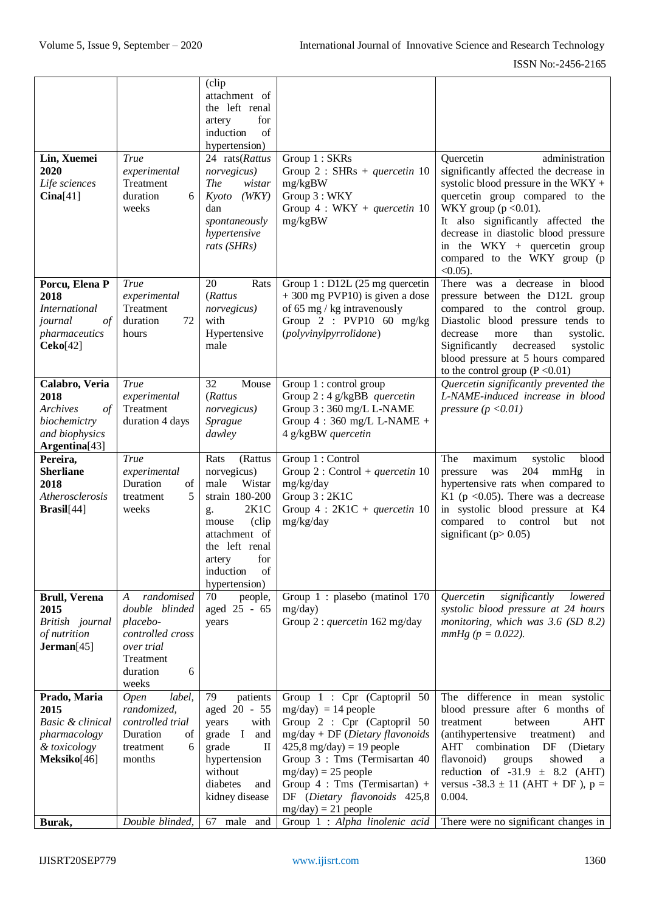| Lin, Xuemei<br>2020<br>Life sciences<br>Cina[41]                                                     | <b>True</b><br>experimental<br>Treatment<br>duration<br>6<br>weeks                                                                    | (clip<br>attachment of<br>the left renal<br>for<br>artery<br>of<br>induction<br>hypertension)<br>24 rats(Rattus<br>norvegicus)<br><i>The</i><br>wistar<br>(WKY)<br>Kyoto<br>dan<br>spontaneously<br>hypertensive<br>rats (SHRs) | Group 1 : SKRs<br>Group 2 : SHRs + quercetin 10<br>mg/kgBW<br>Group 3 : WKY<br>Group $4: WKY + quercetin 10$<br>mg/kgBW                                                                                                                                                                                                                          | administration<br>Quercetin<br>significantly affected the decrease in<br>systolic blood pressure in the WKY $+$<br>quercetin group compared to the<br>WKY group ( $p < 0.01$ ).<br>It also significantly affected the<br>decrease in diastolic blood pressure<br>in the WKY + quercetin group<br>compared to the WKY group (p                                |
|------------------------------------------------------------------------------------------------------|---------------------------------------------------------------------------------------------------------------------------------------|---------------------------------------------------------------------------------------------------------------------------------------------------------------------------------------------------------------------------------|--------------------------------------------------------------------------------------------------------------------------------------------------------------------------------------------------------------------------------------------------------------------------------------------------------------------------------------------------|--------------------------------------------------------------------------------------------------------------------------------------------------------------------------------------------------------------------------------------------------------------------------------------------------------------------------------------------------------------|
| Porcu, Elena P<br>2018<br><i>International</i><br>$\sigma f$<br>journal<br>pharmaceutics<br>Ceko[42] | <b>True</b><br>experimental<br>Treatment<br>duration<br>72<br>hours                                                                   | 20<br>Rats<br>(Rattus<br>norvegicus)<br>with<br>Hypertensive<br>male                                                                                                                                                            | Group $1: D12L$ (25 mg quercetin<br>$+300$ mg PVP10) is given a dose<br>of 65 mg / kg intravenously<br>Group $2$ : PVP10 60 mg/kg<br>(polyvinylpyrrolidone)                                                                                                                                                                                      | $<0.05$ ).<br>There was a decrease in<br>blood<br>pressure between the D12L group<br>compared to the control<br>group.<br>Diastolic blood pressure tends to<br>than<br>decrease<br>systolic.<br>more<br>Significantly<br>decreased<br>systolic<br>blood pressure at 5 hours compared<br>to the control group $(P < 0.01)$                                    |
| Calabro, Veria<br>2018<br>Archives<br>$\sigma f$<br>biochemictry<br>and biophysics<br>Argentina[43]  | True<br>experimental<br>Treatment<br>duration 4 days                                                                                  | 32<br>Mouse<br>(Rattus<br>norvegicus)<br>Sprague<br>dawley                                                                                                                                                                      | Group 1 : control group<br>Group $2:4$ g/kgBB quercetin<br>Group 3:360 mg/L L-NAME<br>Group $4:360$ mg/L L-NAME +<br>4 g/kgBW quercetin                                                                                                                                                                                                          | Quercetin significantly prevented the<br>L-NAME-induced increase in blood<br>pressure $(p < 0.01)$                                                                                                                                                                                                                                                           |
| Pereira,<br><b>Sherliane</b><br>2018<br>Atherosclerosis<br>Brasil[44]                                | <b>True</b><br>experimental<br>Duration<br>of<br>5<br>treatment<br>weeks                                                              | Rats<br>(Rattus<br>norvegicus)<br>male<br>Wistar<br>strain 180-200<br>2K1C<br>g.<br>(clip<br>mouse<br>attachment of                                                                                                             | Group 1 : Control<br>Group 2 : Control + quercetin 10<br>mg/kg/day<br>Group $3:2K1C$<br>Group $4:2K1C +$ quercetin 10<br>mg/kg/day                                                                                                                                                                                                               | The<br>blood<br>systolic<br>maximum<br>204<br>mmHg<br>pressure<br>was<br>in<br>hypertensive rats when compared to<br>K1 ( $p < 0.05$ ). There was a decrease<br>in systolic blood pressure at K4<br>compared<br>control<br>to<br>but<br>not<br>significant ( $p > 0.05$ )                                                                                    |
|                                                                                                      |                                                                                                                                       | the left renal<br>for<br>artery<br>induction<br>of                                                                                                                                                                              |                                                                                                                                                                                                                                                                                                                                                  |                                                                                                                                                                                                                                                                                                                                                              |
| <b>Brull, Verena</b><br>2015<br>British journal<br>of nutrition<br>Jerman[45]                        | randomised<br>$\boldsymbol{A}$<br>double blinded<br>placebo-<br>controlled cross<br>over trial<br>Treatment<br>6<br>duration<br>weeks | hypertension)<br>70<br>people,<br>aged 25 - 65<br>years                                                                                                                                                                         | Group 1 : plasebo (matinol 170<br>mg/day)<br>Group 2 : quercetin 162 mg/day                                                                                                                                                                                                                                                                      | Quercetin<br>significantly<br>lowered<br>systolic blood pressure at 24 hours<br>monitoring, which was $3.6$ (SD $8.2$ )<br>$mmHg (p = 0.022)$ .                                                                                                                                                                                                              |
| Prado, Maria<br>2015<br>Basic & clinical<br>pharmacology<br>& toxicology<br>Meksiko[46]<br>Burak,    | label,<br><b>Open</b><br>randomized,<br>controlled trial<br>Duration<br>of<br>treatment<br>6<br>months<br>Double blinded,             | 79<br>patients<br>aged 20 - 55<br>years<br>with<br>grade I<br>and<br>grade<br>$\mathop{\mathrm{II}}\nolimits$<br>hypertension<br>without<br>diabetes<br>and<br>kidney disease<br>67 male and                                    | Group 1 : Cpr (Captopril 50<br>$mg/day$ = 14 people<br>Group 2 : Cpr (Captopril 50<br>$mg/day + DF$ (Dietary flavonoids<br>$425,8$ mg/day) = 19 people<br>Group 3 : Tms (Termisartan 40<br>$mg/day$ ) = 25 people<br>Group $4$ : Tms (Termisartan) +<br>DF (Dietary flavonoids 425,8<br>$mg/day$ ) = 21 people<br>Group 1 : Alpha linolenic acid | The difference in mean systolic<br>blood pressure after 6 months of<br>treatment<br>between<br>AHT<br>(antihypertensive<br>treatment)<br>and<br>combination<br>AHT<br>DF<br>(Dietary<br>flavonoid)<br>showed<br>groups<br>a<br>reduction of $-31.9 \pm 8.2$ (AHT)<br>versus $-38.3 \pm 11$ (AHT + DF), p =<br>0.004.<br>There were no significant changes in |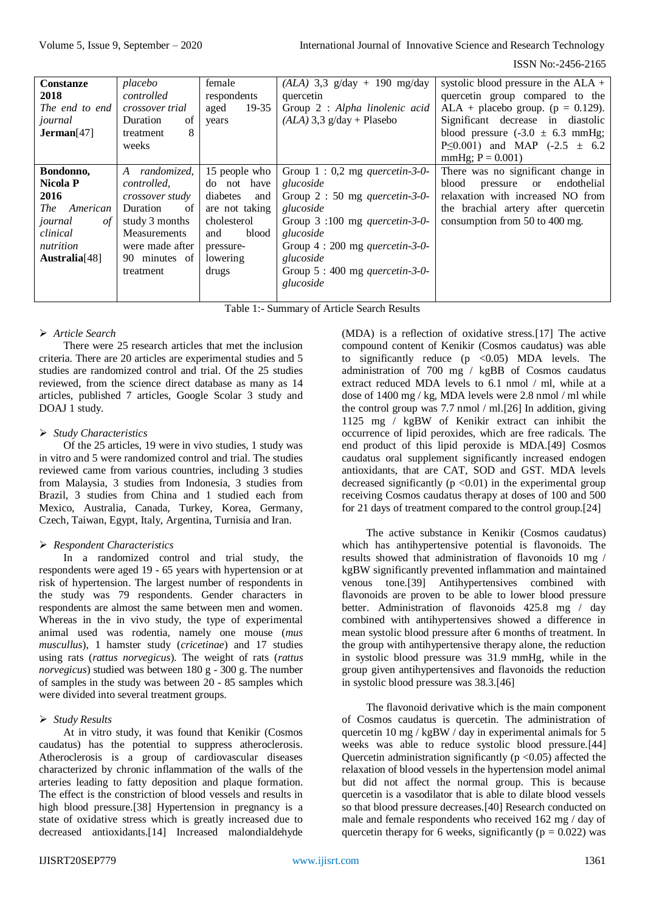ISSN No:-2456-2165

| <b>Constanze</b>          | placebo          | female            | $(ALA)$ 3,3 g/day + 190 mg/day         | systolic blood pressure in the $ALA +$         |
|---------------------------|------------------|-------------------|----------------------------------------|------------------------------------------------|
| 2018                      | controlled       | respondents       | quercetin                              | quercetin group compared to the                |
| The end to end            | crossover trial  | $19 - 35$<br>aged | Group 2 : Alpha linolenic acid         | ALA + placebo group. ( $p = 0.129$ ).          |
| journal                   | Duration<br>of   | years             | $(ALA)$ 3,3 g/day + Plasebo            | Significant decrease in diastolic              |
| Jerman[47]                | 8<br>treatment   |                   |                                        | blood pressure $(-3.0 \pm 6.3 \text{ mmHg})$ ; |
|                           | weeks            |                   |                                        | P $\leq 0.001$ ) and MAP (-2.5 $\pm$ 6.2       |
|                           |                  |                   |                                        | $mmHg$ ; $P = 0.001$ )                         |
| Bondonno,                 | randomized,<br>A | 15 people who     | Group $1:0,2$ mg <i>quercetin-3-0-</i> | There was no significant change in             |
| <b>Nicola P</b>           | controlled,      | do not have       | glucoside                              | endothelial<br>blood<br>pressure or            |
| 2016                      | crossover study  | diabetes<br>and   | Group $2:50$ mg <i>quercetin-3-0-</i>  | relaxation with increased NO from              |
| American<br><i>The</i>    | Duration<br>of   | are not taking    | glucoside                              | the brachial artery after quercetin            |
| journal<br>οf             | study 3 months   | cholesterol       | Group $3:100$ mg <i>quercetin-3-0-</i> | consumption from 50 to 400 mg.                 |
| clinical                  | Measurements     | blood<br>and      | glucoside                              |                                                |
| nutrition                 | were made after  | pressure-         | Group 4 : 200 mg <i>quercetin-3-0-</i> |                                                |
| Australia <sup>[48]</sup> | 90 minutes of    | lowering          | glucoside                              |                                                |
|                           | treatment        | drugs             | Group $5:400$ mg <i>quercetin-3-0-</i> |                                                |
|                           |                  |                   | glucoside                              |                                                |
|                           |                  |                   |                                        |                                                |

Table 1:- Summary of Article Search Results

# *Article Search*

There were 25 research articles that met the inclusion criteria. There are 20 articles are experimental studies and 5 studies are randomized control and trial. Of the 25 studies reviewed, from the science direct database as many as 14 articles, published 7 articles, Google Scolar 3 study and DOAJ 1 study.

#### *Study Characteristics*

Of the 25 articles, 19 were in vivo studies, 1 study was in vitro and 5 were randomized control and trial. The studies reviewed came from various countries, including 3 studies from Malaysia, 3 studies from Indonesia, 3 studies from Brazil, 3 studies from China and 1 studied each from Mexico, Australia, Canada, Turkey, Korea, Germany, Czech, Taiwan, Egypt, Italy, Argentina, Turnisia and Iran.

# *Respondent Characteristics*

In a randomized control and trial study, the respondents were aged 19 - 65 years with hypertension or at risk of hypertension. The largest number of respondents in the study was 79 respondents. Gender characters in respondents are almost the same between men and women. Whereas in the in vivo study, the type of experimental animal used was rodentia, namely one mouse (*mus muscullus*), 1 hamster study (*cricetinae*) and 17 studies using rats (*rattus norvegicus*). The weight of rats (*rattus norvegicus*) studied was between 180 g - 300 g. The number of samples in the study was between 20 - 85 samples which were divided into several treatment groups.

# *Study Results*

At in vitro study, it was found that Kenikir (Cosmos caudatus) has the potential to suppress atheroclerosis. Atheroclerosis is a group of cardiovascular diseases characterized by chronic inflammation of the walls of the arteries leading to fatty deposition and plaque formation. The effect is the constriction of blood vessels and results in high blood pressure.[38] Hypertension in pregnancy is a state of oxidative stress which is greatly increased due to decreased antioxidants.[14] Increased malondialdehyde

(MDA) is a reflection of oxidative stress.[17] The active compound content of Kenikir (Cosmos caudatus) was able to significantly reduce  $(p \le 0.05)$  MDA levels. The administration of 700 mg / kgBB of Cosmos caudatus extract reduced MDA levels to 6.1 nmol / ml, while at a dose of 1400 mg / kg, MDA levels were 2.8 nmol / ml while the control group was 7.7 nmol / ml.[26] In addition, giving 1125 mg / kgBW of Kenikir extract can inhibit the occurrence of lipid peroxides, which are free radicals. The end product of this lipid peroxide is MDA.[49] Cosmos caudatus oral supplement significantly increased endogen antioxidants, that are CAT, SOD and GST. MDA levels decreased significantly ( $p \le 0.01$ ) in the experimental group receiving Cosmos caudatus therapy at doses of 100 and 500 for 21 days of treatment compared to the control group.[24]

The active substance in Kenikir (Cosmos caudatus) which has antihypertensive potential is flavonoids. The results showed that administration of flavonoids 10 mg / kgBW significantly prevented inflammation and maintained venous tone.[39] Antihypertensives combined with flavonoids are proven to be able to lower blood pressure better. Administration of flavonoids 425.8 mg / day combined with antihypertensives showed a difference in mean systolic blood pressure after 6 months of treatment. In the group with antihypertensive therapy alone, the reduction in systolic blood pressure was 31.9 mmHg, while in the group given antihypertensives and flavonoids the reduction in systolic blood pressure was 38.3.[46]

The flavonoid derivative which is the main component of Cosmos caudatus is quercetin. The administration of quercetin 10 mg / kgBW / day in experimental animals for 5 weeks was able to reduce systolic blood pressure.[44] Quercetin administration significantly ( $p \le 0.05$ ) affected the relaxation of blood vessels in the hypertension model animal but did not affect the normal group. This is because quercetin is a vasodilator that is able to dilate blood vessels so that blood pressure decreases.[40] Research conducted on male and female respondents who received 162 mg / day of quercetin therapy for 6 weeks, significantly ( $p = 0.022$ ) was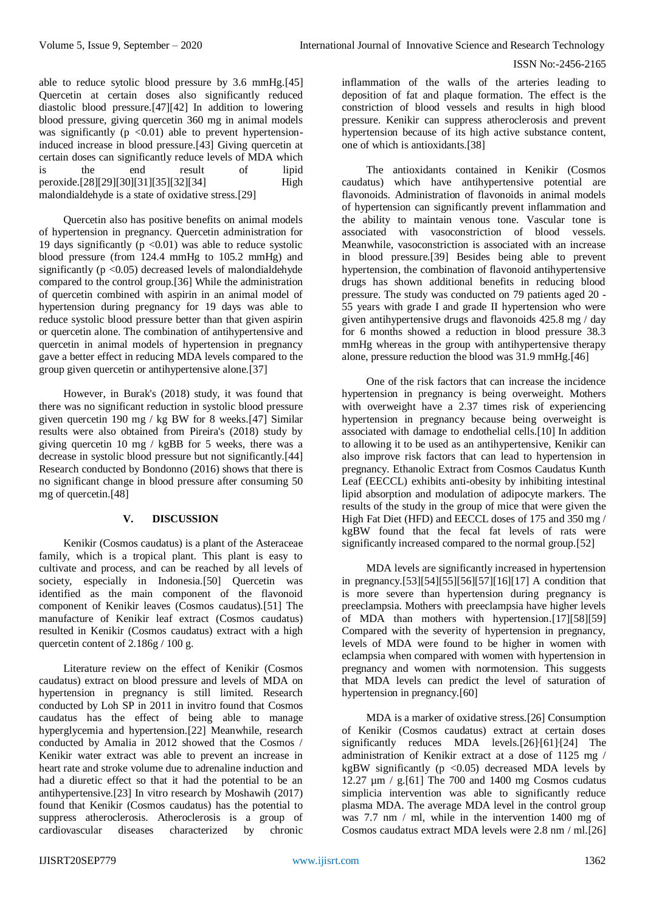able to reduce sytolic blood pressure by 3.6 mmHg.[45] Quercetin at certain doses also significantly reduced diastolic blood pressure.[47][42] In addition to lowering blood pressure, giving quercetin 360 mg in animal models was significantly ( $p \leq 0.01$ ) able to prevent hypertensioninduced increase in blood pressure.[43] Giving quercetin at certain doses can significantly reduce levels of MDA which is the end result of lipid peroxide.[28][29][30][31][35][32][34] High malondialdehyde is a state of oxidative stress.[29]

Quercetin also has positive benefits on animal models of hypertension in pregnancy. Quercetin administration for 19 days significantly  $(p \le 0.01)$  was able to reduce systolic blood pressure (from 124.4 mmHg to 105.2 mmHg) and significantly ( $p < 0.05$ ) decreased levels of malondialdehyde compared to the control group.[36] While the administration of quercetin combined with aspirin in an animal model of hypertension during pregnancy for 19 days was able to reduce systolic blood pressure better than that given aspirin or quercetin alone. The combination of antihypertensive and quercetin in animal models of hypertension in pregnancy gave a better effect in reducing MDA levels compared to the group given quercetin or antihypertensive alone.[37]

However, in Burak's (2018) study, it was found that there was no significant reduction in systolic blood pressure given quercetin 190 mg / kg BW for 8 weeks.[47] Similar results were also obtained from Pireira's (2018) study by giving quercetin 10 mg / kgBB for 5 weeks, there was a decrease in systolic blood pressure but not significantly.[44] Research conducted by Bondonno (2016) shows that there is no significant change in blood pressure after consuming 50 mg of quercetin.[48]

# **V. DISCUSSION**

Kenikir (Cosmos caudatus) is a plant of the Asteraceae family, which is a tropical plant. This plant is easy to cultivate and process, and can be reached by all levels of society, especially in Indonesia.[50] Quercetin was identified as the main component of the flavonoid component of Kenikir leaves (Cosmos caudatus).[51] The manufacture of Kenikir leaf extract (Cosmos caudatus) resulted in Kenikir (Cosmos caudatus) extract with a high quercetin content of 2.186g / 100 g.

Literature review on the effect of Kenikir (Cosmos caudatus) extract on blood pressure and levels of MDA on hypertension in pregnancy is still limited. Research conducted by Loh SP in 2011 in invitro found that Cosmos caudatus has the effect of being able to manage hyperglycemia and hypertension.[22] Meanwhile, research conducted by Amalia in 2012 showed that the Cosmos / Kenikir water extract was able to prevent an increase in heart rate and stroke volume due to adrenaline induction and had a diuretic effect so that it had the potential to be an antihypertensive.[23] In vitro research by Moshawih (2017) found that Kenikir (Cosmos caudatus) has the potential to suppress atheroclerosis. Atheroclerosis is a group of cardiovascular diseases characterized by chronic

inflammation of the walls of the arteries leading to deposition of fat and plaque formation. The effect is the constriction of blood vessels and results in high blood pressure. Kenikir can suppress atheroclerosis and prevent hypertension because of its high active substance content, one of which is antioxidants.[38]

The antioxidants contained in Kenikir (Cosmos caudatus) which have antihypertensive potential are flavonoids. Administration of flavonoids in animal models of hypertension can significantly prevent inflammation and the ability to maintain venous tone. Vascular tone is associated with vasoconstriction of blood vessels. Meanwhile, vasoconstriction is associated with an increase in blood pressure.[39] Besides being able to prevent hypertension, the combination of flavonoid antihypertensive drugs has shown additional benefits in reducing blood pressure. The study was conducted on 79 patients aged 20 - 55 years with grade I and grade II hypertension who were given antihypertensive drugs and flavonoids 425.8 mg / day for 6 months showed a reduction in blood pressure 38.3 mmHg whereas in the group with antihypertensive therapy alone, pressure reduction the blood was 31.9 mmHg.[46]

One of the risk factors that can increase the incidence hypertension in pregnancy is being overweight. Mothers with overweight have a 2.37 times risk of experiencing hypertension in pregnancy because being overweight is associated with damage to endothelial cells.[10] In addition to allowing it to be used as an antihypertensive, Kenikir can also improve risk factors that can lead to hypertension in pregnancy. Ethanolic Extract from Cosmos Caudatus Kunth Leaf (EECCL) exhibits anti-obesity by inhibiting intestinal lipid absorption and modulation of adipocyte markers. The results of the study in the group of mice that were given the High Fat Diet (HFD) and EECCL doses of 175 and 350 mg / kgBW found that the fecal fat levels of rats were significantly increased compared to the normal group.[52]

MDA levels are significantly increased in hypertension in pregnancy.[53][54][55][56][57][16][17] A condition that is more severe than hypertension during pregnancy is preeclampsia. Mothers with preeclampsia have higher levels of MDA than mothers with hypertension.[17][58][59] Compared with the severity of hypertension in pregnancy, levels of MDA were found to be higher in women with eclampsia when compared with women with hypertension in pregnancy and women with normotension. This suggests that MDA levels can predict the level of saturation of hypertension in pregnancy.[60]

MDA is a marker of oxidative stress.[26] Consumption of Kenikir (Cosmos caudatus) extract at certain doses significantly reduces MDA levels.[26]<sup>{</sup>[61]<sup>{24]</sup> The administration of Kenikir extract at a dose of 1125 mg / kgBW significantly ( $p \le 0.05$ ) decreased MDA levels by 12.27  $\mu$ m / g. [61] The 700 and 1400 mg Cosmos cudatus simplicia intervention was able to significantly reduce plasma MDA. The average MDA level in the control group was 7.7 nm / ml, while in the intervention 1400 mg of Cosmos caudatus extract MDA levels were 2.8 nm / ml.[26]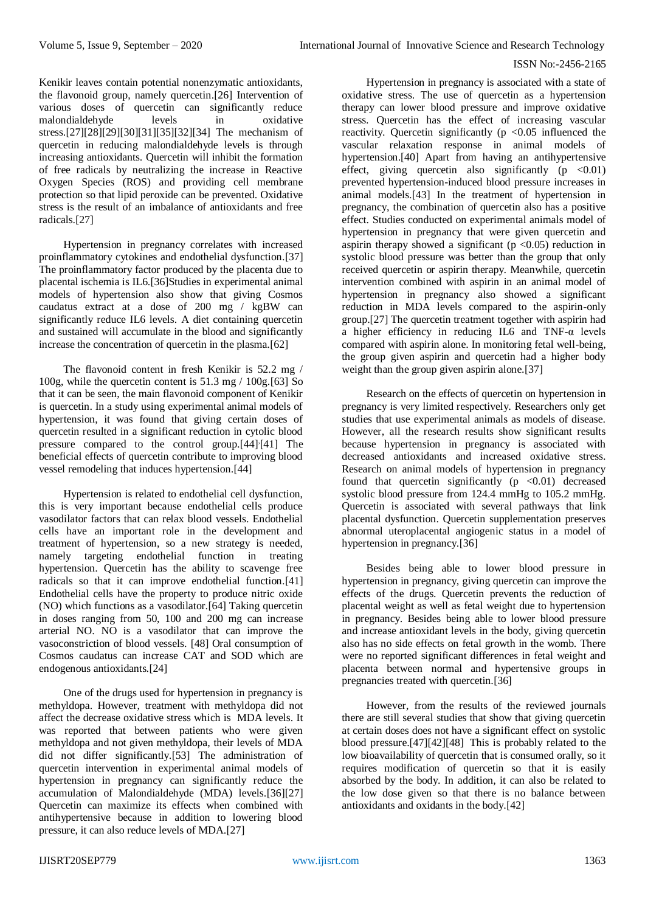Kenikir leaves contain potential nonenzymatic antioxidants, the flavonoid group, namely quercetin.[26] Intervention of various doses of quercetin can significantly reduce malondialdehyde levels in oxidative stress.[27][28][29][30][31][35][32][34] The mechanism of quercetin in reducing malondialdehyde levels is through increasing antioxidants. Quercetin will inhibit the formation of free radicals by neutralizing the increase in Reactive Oxygen Species (ROS) and providing cell membrane protection so that lipid peroxide can be prevented. Oxidative stress is the result of an imbalance of antioxidants and free radicals.[27]

Hypertension in pregnancy correlates with increased proinflammatory cytokines and endothelial dysfunction.[37] The proinflammatory factor produced by the placenta due to placental ischemia is IL6.[36]Studies in experimental animal models of hypertension also show that giving Cosmos caudatus extract at a dose of 200 mg / kgBW can significantly reduce IL6 levels. A diet containing quercetin and sustained will accumulate in the blood and significantly increase the concentration of quercetin in the plasma.[62]

The flavonoid content in fresh Kenikir is 52.2 mg / 100g, while the quercetin content is 51.3 mg / 100g.[63] So that it can be seen, the main flavonoid component of Kenikir is quercetin. In a study using experimental animal models of hypertension, it was found that giving certain doses of quercetin resulted in a significant reduction in cytolic blood pressure compared to the control group.[44]<sup>[41]</sup> The beneficial effects of quercetin contribute to improving blood vessel remodeling that induces hypertension.[44]

Hypertension is related to endothelial cell dysfunction, this is very important because endothelial cells produce vasodilator factors that can relax blood vessels. Endothelial cells have an important role in the development and treatment of hypertension, so a new strategy is needed, namely targeting endothelial function in treating hypertension. Quercetin has the ability to scavenge free radicals so that it can improve endothelial function.[41] Endothelial cells have the property to produce nitric oxide (NO) which functions as a vasodilator.[64] Taking quercetin in doses ranging from 50, 100 and 200 mg can increase arterial NO. NO is a vasodilator that can improve the vasoconstriction of blood vessels. [48] Oral consumption of Cosmos caudatus can increase CAT and SOD which are endogenous antioxidants.[24]

One of the drugs used for hypertension in pregnancy is methyldopa. However, treatment with methyldopa did not affect the decrease oxidative stress which is MDA levels. It was reported that between patients who were given methyldopa and not given methyldopa, their levels of MDA did not differ significantly.[53] The administration of quercetin intervention in experimental animal models of hypertension in pregnancy can significantly reduce the accumulation of Malondialdehyde (MDA) levels.[36][27] Quercetin can maximize its effects when combined with antihypertensive because in addition to lowering blood pressure, it can also reduce levels of MDA.[27]

Hypertension in pregnancy is associated with a state of oxidative stress. The use of quercetin as a hypertension therapy can lower blood pressure and improve oxidative stress. Quercetin has the effect of increasing vascular reactivity. Quercetin significantly ( $p \le 0.05$  influenced the vascular relaxation response in animal models of hypertension.[40] Apart from having an antihypertensive effect, giving quercetin also significantly  $(p \le 0.01)$ prevented hypertension-induced blood pressure increases in animal models.[43] In the treatment of hypertension in pregnancy, the combination of quercetin also has a positive effect. Studies conducted on experimental animals model of hypertension in pregnancy that were given quercetin and aspirin therapy showed a significant  $(p < 0.05)$  reduction in systolic blood pressure was better than the group that only received quercetin or aspirin therapy. Meanwhile, quercetin intervention combined with aspirin in an animal model of hypertension in pregnancy also showed a significant reduction in MDA levels compared to the aspirin-only group.[27] The quercetin treatment together with aspirin had a higher efficiency in reducing IL6 and TNF-α levels compared with aspirin alone. In monitoring fetal well-being, the group given aspirin and quercetin had a higher body weight than the group given aspirin alone.[37]

Research on the effects of quercetin on hypertension in pregnancy is very limited respectively. Researchers only get studies that use experimental animals as models of disease. However, all the research results show significant results because hypertension in pregnancy is associated with decreased antioxidants and increased oxidative stress. Research on animal models of hypertension in pregnancy found that quercetin significantly  $(p \le 0.01)$  decreased systolic blood pressure from 124.4 mmHg to 105.2 mmHg. Quercetin is associated with several pathways that link placental dysfunction. Quercetin supplementation preserves abnormal uteroplacental angiogenic status in a model of hypertension in pregnancy.[36]

Besides being able to lower blood pressure in hypertension in pregnancy, giving quercetin can improve the effects of the drugs. Quercetin prevents the reduction of placental weight as well as fetal weight due to hypertension in pregnancy. Besides being able to lower blood pressure and increase antioxidant levels in the body, giving quercetin also has no side effects on fetal growth in the womb. There were no reported significant differences in fetal weight and placenta between normal and hypertensive groups in pregnancies treated with quercetin.[36]

However, from the results of the reviewed journals there are still several studies that show that giving quercetin at certain doses does not have a significant effect on systolic blood pressure.[47][42][48] This is probably related to the low bioavailability of quercetin that is consumed orally, so it requires modification of quercetin so that it is easily absorbed by the body. In addition, it can also be related to the low dose given so that there is no balance between antioxidants and oxidants in the body.[42]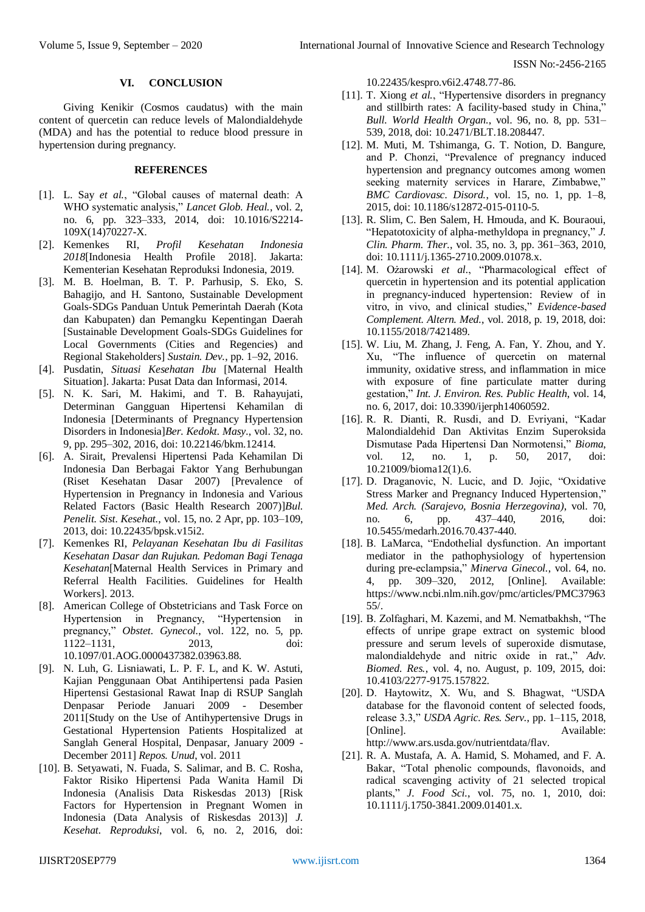#### **VI. CONCLUSION**

Giving Kenikir (Cosmos caudatus) with the main content of quercetin can reduce levels of Malondialdehyde (MDA) and has the potential to reduce blood pressure in hypertension during pregnancy.

#### **REFERENCES**

- [1]. L. Say *et al.*, "Global causes of maternal death: A WHO systematic analysis," *Lancet Glob. Heal.*, vol. 2, no. 6, pp. 323–333, 2014, doi: 10.1016/S2214- 109X(14)70227-X.
- [2]. Kemenkes RI, *Profil Kesehatan Indonesia 2018*[Indonesia Health Profile 2018]. Jakarta: Kementerian Kesehatan Reproduksi Indonesia, 2019.
- [3]. M. B. Hoelman, B. T. P. Parhusip, S. Eko, S. Bahagijo, and H. Santono, Sustainable Development Goals-SDGs Panduan Untuk Pemerintah Daerah (Kota dan Kabupaten) dan Pemangku Kepentingan Daerah [Sustainable Development Goals-SDGs Guidelines for Local Governments (Cities and Regencies) and Regional Stakeholders] *Sustain. Dev.*, pp. 1–92, 2016.
- [4]. Pusdatin, *Situasi Kesehatan Ibu* [Maternal Health Situation]. Jakarta: Pusat Data dan Informasi, 2014.
- [5]. N. K. Sari, M. Hakimi, and T. B. Rahayujati, Determinan Gangguan Hipertensi Kehamilan di Indonesia [Determinants of Pregnancy Hypertension Disorders in Indonesia]*Ber. Kedokt. Masy.*, vol. 32, no. 9, pp. 295–302, 2016, doi: 10.22146/bkm.12414.
- [6]. A. Sirait, Prevalensi Hipertensi Pada Kehamilan Di Indonesia Dan Berbagai Faktor Yang Berhubungan (Riset Kesehatan Dasar 2007) [Prevalence of Hypertension in Pregnancy in Indonesia and Various Related Factors (Basic Health Research 2007)]*Bul. Penelit. Sist. Kesehat.*, vol. 15, no. 2 Apr, pp. 103–109, 2013, doi: 10.22435/bpsk.v15i2.
- [7]. Kemenkes RI, *Pelayanan Kesehatan Ibu di Fasilitas Kesehatan Dasar dan Rujukan. Pedoman Bagi Tenaga Kesehatan*[Maternal Health Services in Primary and Referral Health Facilities. Guidelines for Health Workers]. 2013.
- [8]. American College of Obstetricians and Task Force on Hypertension in Pregnancy, "Hypertension in pregnancy," *Obstet. Gynecol.*, vol. 122, no. 5, pp. 1122–1131, 2013, doi: 10.1097/01.AOG.0000437382.03963.88.
- [9]. N. Luh, G. Lisniawati, L. P. F. L, and K. W. Astuti, Kajian Penggunaan Obat Antihipertensi pada Pasien Hipertensi Gestasional Rawat Inap di RSUP Sanglah Denpasar Periode Januari 2009 - Desember 2011[Study on the Use of Antihypertensive Drugs in Gestational Hypertension Patients Hospitalized at Sanglah General Hospital, Denpasar, January 2009 - December 2011] *Repos. Unud*, vol. 2011
- [10]. B. Setyawati, N. Fuada, S. Salimar, and B. C. Rosha, Faktor Risiko Hipertensi Pada Wanita Hamil Di Indonesia (Analisis Data Riskesdas 2013) [Risk Factors for Hypertension in Pregnant Women in Indonesia (Data Analysis of Riskesdas 2013)] *J. Kesehat. Reproduksi*, vol. 6, no. 2, 2016, doi:

10.22435/kespro.v6i2.4748.77-86.

- [11]. T. Xiong *et al.*, "Hypertensive disorders in pregnancy and stillbirth rates: A facility-based study in China,' *Bull. World Health Organ.*, vol. 96, no. 8, pp. 531– 539, 2018, doi: 10.2471/BLT.18.208447.
- [12]. M. Muti, M. Tshimanga, G. T. Notion, D. Bangure, and P. Chonzi, "Prevalence of pregnancy induced hypertension and pregnancy outcomes among women seeking maternity services in Harare, Zimbabwe," *BMC Cardiovasc. Disord.*, vol. 15, no. 1, pp. 1–8, 2015, doi: 10.1186/s12872-015-0110-5.
- [13]. R. Slim, C. Ben Salem, H. Hmouda, and K. Bouraoui, "Hepatotoxicity of alpha-methyldopa in pregnancy," *J. Clin. Pharm. Ther.*, vol. 35, no. 3, pp. 361–363, 2010, doi: 10.1111/j.1365-2710.2009.01078.x.
- [14]. M. Ożarowski et al., "Pharmacological effect of quercetin in hypertension and its potential application in pregnancy-induced hypertension: Review of in vitro, in vivo, and clinical studies," *Evidence-based Complement. Altern. Med.*, vol. 2018, p. 19, 2018, doi: 10.1155/2018/7421489.
- [15]. W. Liu, M. Zhang, J. Feng, A. Fan, Y. Zhou, and Y. Xu, "The influence of quercetin on maternal immunity, oxidative stress, and inflammation in mice with exposure of fine particulate matter during gestation," *Int. J. Environ. Res. Public Health*, vol. 14, no. 6, 2017, doi: 10.3390/ijerph14060592.
- [16]. R. R. Dianti, R. Rusdi, and D. Evriyani, "Kadar Malondialdehid Dan Aktivitas Enzim Superoksida Dismutase Pada Hipertensi Dan Normotensi," *Bioma*, vol. 12, no. 1, p. 50, 2017, doi: 10.21009/bioma12(1).6.
- [17]. D. Draganovic, N. Lucic, and D. Jojic, "Oxidative Stress Marker and Pregnancy Induced Hypertension," *Med. Arch. (Sarajevo, Bosnia Herzegovina)*, vol. 70, no. 6, pp. 437–440, 2016, doi: 10.5455/medarh.2016.70.437-440.
- [18]. B. LaMarca, "Endothelial dysfunction. An important mediator in the pathophysiology of hypertension during pre-eclampsia," *Minerva Ginecol.*, vol. 64, no. 4, pp. 309–320, 2012, [Online]. Available: https://www.ncbi.nlm.nih.gov/pmc/articles/PMC37963 55/.
- [19]. B. Zolfaghari, M. Kazemi, and M. Nematbakhsh, "The effects of unripe grape extract on systemic blood pressure and serum levels of superoxide dismutase, malondialdehyde and nitric oxide in rat.," *Adv. Biomed. Res.*, vol. 4, no. August, p. 109, 2015, doi: 10.4103/2277-9175.157822.
- [20]. D. Haytowitz, X. Wu, and S. Bhagwat, "USDA database for the flavonoid content of selected foods, release 3.3," *USDA Agric. Res. Serv.*, pp. 1–115, 2018, [Online]. Available: http://www.ars.usda.gov/nutrientdata/flav.
- [21]. R. A. Mustafa, A. A. Hamid, S. Mohamed, and F. A. Bakar, "Total phenolic compounds, flavonoids, and radical scavenging activity of 21 selected tropical plants," *J. Food Sci.*, vol. 75, no. 1, 2010, doi: 10.1111/j.1750-3841.2009.01401.x.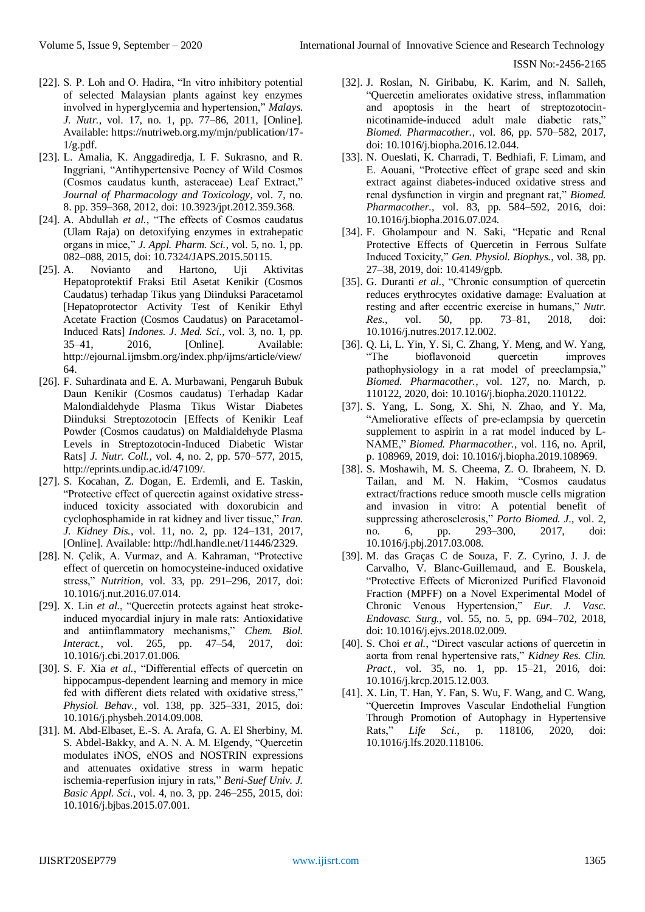- [22]. S. P. Loh and O. Hadira, "In vitro inhibitory potential of selected Malaysian plants against key enzymes involved in hyperglycemia and hypertension," *Malays. J. Nutr.*, vol. 17, no. 1, pp. 77–86, 2011, [Online]. Available: https://nutriweb.org.my/mjn/publication/17-  $1/g.pdf.$
- [23]. L. Amalia, K. Anggadiredja, I. F. Sukrasno, and R. Inggriani, "Antihypertensive Poency of Wild Cosmos (Cosmos caudatus kunth, asteraceae) Leaf Extract," *Journal of Pharmacology and Toxicology*, vol. 7, no. 8. pp. 359–368, 2012, doi: 10.3923/jpt.2012.359.368.
- [24]. A. Abdullah *et al.*, "The effects of Cosmos caudatus (Ulam Raja) on detoxifying enzymes in extrahepatic organs in mice," *J. Appl. Pharm. Sci.*, vol. 5, no. 1, pp. 082–088, 2015, doi: 10.7324/JAPS.2015.50115.
- [25]. A. Novianto and Hartono, Uji Aktivitas Hepatoprotektif Fraksi Etil Asetat Kenikir (Cosmos Caudatus) terhadap Tikus yang Diinduksi Paracetamol [Hepatoprotector Activity Test of Kenikir Ethyl Acetate Fraction (Cosmos Caudatus) on Paracetamol-Induced Rats] *Indones. J. Med. Sci.*, vol. 3, no. 1, pp. 35–41, 2016, [Online]. Available: http://ejournal.ijmsbm.org/index.php/ijms/article/view/ 64.
- [26]. F. Suhardinata and E. A. Murbawani, Pengaruh Bubuk Daun Kenikir (Cosmos caudatus) Terhadap Kadar Malondialdehyde Plasma Tikus Wistar Diabetes Diinduksi Streptozotocin [Effects of Kenikir Leaf Powder (Cosmos caudatus) on Maldialdehyde Plasma Levels in Streptozotocin-Induced Diabetic Wistar Rats] *J. Nutr. Coll.*, vol. 4, no. 2, pp. 570–577, 2015, http://eprints.undip.ac.id/47109/.
- [27]. S. Kocahan, Z. Dogan, E. Erdemli, and E. Taskin, "Protective effect of quercetin against oxidative stressinduced toxicity associated with doxorubicin and cyclophosphamide in rat kidney and liver tissue," *Iran. J. Kidney Dis.*, vol. 11, no. 2, pp. 124–131, 2017, [Online]. Available: http://hdl.handle.net/11446/2329.
- [28]. N. Çelik, A. Vurmaz, and A. Kahraman, "Protective effect of quercetin on homocysteine-induced oxidative stress," *Nutrition*, vol. 33, pp. 291–296, 2017, doi: 10.1016/j.nut.2016.07.014.
- [29]. X. Lin *et al.*, "Quercetin protects against heat strokeinduced myocardial injury in male rats: Antioxidative and antiinflammatory mechanisms," *Chem. Biol. Interact.*, vol. 265, pp. 47–54, 2017, doi: 10.1016/j.cbi.2017.01.006.
- [30]. S. F. Xia *et al.*, "Differential effects of quercetin on hippocampus-dependent learning and memory in mice fed with different diets related with oxidative stress," *Physiol. Behav.*, vol. 138, pp. 325–331, 2015, doi: 10.1016/j.physbeh.2014.09.008.
- [31]. M. Abd-Elbaset, E.-S. A. Arafa, G. A. El Sherbiny, M. S. Abdel-Bakky, and A. N. A. M. Elgendy, "Quercetin modulates iNOS, eNOS and NOSTRIN expressions and attenuates oxidative stress in warm hepatic ischemia-reperfusion injury in rats," *Beni-Suef Univ. J. Basic Appl. Sci.*, vol. 4, no. 3, pp. 246–255, 2015, doi: 10.1016/j.bjbas.2015.07.001.
- [32]. J. Roslan, N. Giribabu, K. Karim, and N. Salleh, "Quercetin ameliorates oxidative stress, inflammation and apoptosis in the heart of streptozotocinnicotinamide-induced adult male diabetic rats," *Biomed. Pharmacother.*, vol. 86, pp. 570–582, 2017, doi: 10.1016/j.biopha.2016.12.044.
- [33]. N. Oueslati, K. Charradi, T. Bedhiafi, F. Limam, and E. Aouani, "Protective effect of grape seed and skin extract against diabetes-induced oxidative stress and renal dysfunction in virgin and pregnant rat," *Biomed. Pharmacother.*, vol. 83, pp. 584–592, 2016, doi: 10.1016/j.biopha.2016.07.024.
- [34]. F. Gholampour and N. Saki, "Hepatic and Renal Protective Effects of Quercetin in Ferrous Sulfate Induced Toxicity," *Gen. Physiol. Biophys.*, vol. 38, pp. 27–38, 2019, doi: 10.4149/gpb.
- [35]. G. Duranti *et al.*, "Chronic consumption of quercetin reduces erythrocytes oxidative damage: Evaluation at resting and after eccentric exercise in humans," *Nutr. Res.*, vol. 50, pp. 73–81, 2018, doi: 10.1016/j.nutres.2017.12.002.
- [36]. Q. Li, L. Yin, Y. Si, C. Zhang, Y. Meng, and W. Yang, bioflavonoid quercetin improves pathophysiology in a rat model of preeclampsia," *Biomed. Pharmacother.*, vol. 127, no. March, p. 110122, 2020, doi: 10.1016/j.biopha.2020.110122.
- [37]. S. Yang, L. Song, X. Shi, N. Zhao, and Y. Ma, "Ameliorative effects of pre-eclampsia by quercetin supplement to aspirin in a rat model induced by L-NAME," *Biomed. Pharmacother.*, vol. 116, no. April, p. 108969, 2019, doi: 10.1016/j.biopha.2019.108969.
- [38]. S. Moshawih, M. S. Cheema, Z. O. Ibraheem, N. D. Tailan, and M. N. Hakim, "Cosmos caudatus extract/fractions reduce smooth muscle cells migration and invasion in vitro: A potential benefit of suppressing atherosclerosis," *Porto Biomed. J.*, vol. 2, no. 6, pp. 293–300, 2017, doi: 10.1016/j.pbj.2017.03.008.
- [39]. M. das Graças C de Souza, F. Z. Cyrino, J. J. de Carvalho, V. Blanc-Guillemaud, and E. Bouskela, "Protective Effects of Micronized Purified Flavonoid Fraction (MPFF) on a Novel Experimental Model of Chronic Venous Hypertension," *Eur. J. Vasc. Endovasc. Surg.*, vol. 55, no. 5, pp. 694–702, 2018, doi: 10.1016/j.ejvs.2018.02.009.
- [40]. S. Choi *et al.*, "Direct vascular actions of quercetin in aorta from renal hypertensive rats," *Kidney Res. Clin. Pract.*, vol. 35, no. 1, pp. 15–21, 2016, doi: 10.1016/j.krcp.2015.12.003.
- [41]. X. Lin, T. Han, Y. Fan, S. Wu, F. Wang, and C. Wang, "Quercetin Improves Vascular Endothelial Fungtion Through Promotion of Autophagy in Hypertensive Rats," *Life Sci.*, p. 118106, 2020, doi: 10.1016/j.lfs.2020.118106.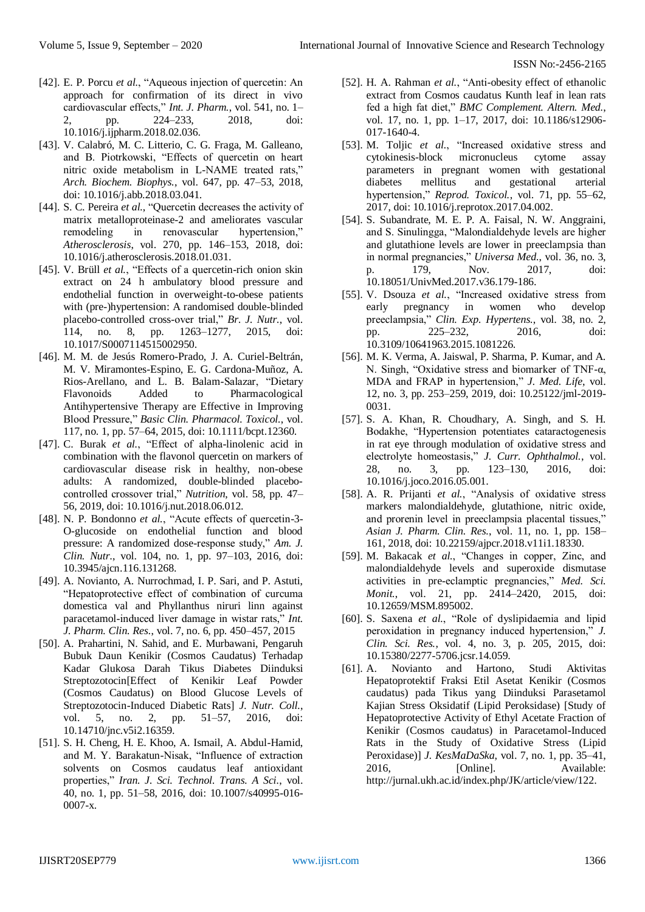- [42]. E. P. Porcu *et al.*, "Aqueous injection of quercetin: An approach for confirmation of its direct in vivo cardiovascular effects," *Int. J. Pharm.*, vol. 541, no. 1– 2, pp. 224–233, 2018, doi: 10.1016/j.ijpharm.2018.02.036.
- [43]. V. Calabró, M. C. Litterio, C. G. Fraga, M. Galleano, and B. Piotrkowski, "Effects of quercetin on heart nitric oxide metabolism in L-NAME treated rats," *Arch. Biochem. Biophys.*, vol. 647, pp. 47–53, 2018, doi: 10.1016/j.abb.2018.03.041.
- [44]. S. C. Pereira *et al.*, "Quercetin decreases the activity of matrix metalloproteinase-2 and ameliorates vascular remodeling in renovascular hypertension," *Atherosclerosis*, vol. 270, pp. 146–153, 2018, doi: 10.1016/j.atherosclerosis.2018.01.031.
- [45]. V. Brüll *et al.*, "Effects of a quercetin-rich onion skin extract on 24 h ambulatory blood pressure and endothelial function in overweight-to-obese patients with (pre-)hypertension: A randomised double-blinded placebo-controlled cross-over trial," *Br. J. Nutr.*, vol. 114, no. 8, pp. 1263–1277, 2015, doi: 10.1017/S0007114515002950.
- [46]. M. M. de Jesús Romero-Prado, J. A. Curiel-Beltrán, M. V. Miramontes-Espino, E. G. Cardona-Muñoz, A. Rios-Arellano, and L. B. Balam-Salazar, "Dietary Flavonoids Added to Pharmacological Antihypertensive Therapy are Effective in Improving Blood Pressure," *Basic Clin. Pharmacol. Toxicol.*, vol. 117, no. 1, pp. 57–64, 2015, doi: 10.1111/bcpt.12360.
- [47]. C. Burak *et al.*, "Effect of alpha-linolenic acid in combination with the flavonol quercetin on markers of cardiovascular disease risk in healthy, non-obese adults: A randomized, double-blinded placebocontrolled crossover trial," *Nutrition*, vol. 58, pp. 47– 56, 2019, doi: 10.1016/j.nut.2018.06.012.
- [48]. N. P. Bondonno *et al.*, "Acute effects of quercetin-3-O-glucoside on endothelial function and blood pressure: A randomized dose-response study," *Am. J. Clin. Nutr.*, vol. 104, no. 1, pp. 97–103, 2016, doi: 10.3945/ajcn.116.131268.
- [49]. A. Novianto, A. Nurrochmad, I. P. Sari, and P. Astuti, "Hepatoprotective effect of combination of curcuma domestica val and Phyllanthus niruri linn against paracetamol-induced liver damage in wistar rats," *Int. J. Pharm. Clin. Res.*, vol. 7, no. 6, pp. 450–457, 2015
- [50]. A. Prahartini, N. Sahid, and E. Murbawani, Pengaruh Bubuk Daun Kenikir (Cosmos Caudatus) Terhadap Kadar Glukosa Darah Tikus Diabetes Diinduksi Streptozotocin[Effect of Kenikir Leaf Powder (Cosmos Caudatus) on Blood Glucose Levels of Streptozotocin-Induced Diabetic Rats] *J. Nutr. Coll.*, vol. 5, no. 2, pp. 51–57, 2016, doi: 10.14710/jnc.v5i2.16359.
- [51]. S. H. Cheng, H. E. Khoo, A. Ismail, A. Abdul-Hamid, and M. Y. Barakatun-Nisak, "Influence of extraction solvents on Cosmos caudatus leaf antioxidant properties," *Iran. J. Sci. Technol. Trans. A Sci.*, vol. 40, no. 1, pp. 51–58, 2016, doi: 10.1007/s40995-016- 0007-x.
- [52]. H. A. Rahman *et al.*, "Anti-obesity effect of ethanolic extract from Cosmos caudatus Kunth leaf in lean rats fed a high fat diet," *BMC Complement. Altern. Med.*, vol. 17, no. 1, pp. 1-17, 2017, doi: 10.1186/s12906-017-1640-4.
- [53]. M. Toljic *et al.*, "Increased oxidative stress and cytokinesis-block micronucleus cytome assay parameters in pregnant women with gestational diabetes mellitus and gestational arterial hypertension," *Reprod. Toxicol.*, vol. 71, pp. 55–62, 2017, doi: 10.1016/j.reprotox.2017.04.002.
- [54]. S. Subandrate, M. E. P. A. Faisal, N. W. Anggraini, and S. Sinulingga, "Malondialdehyde levels are higher and glutathione levels are lower in preeclampsia than in normal pregnancies," *Universa Med.*, vol. 36, no. 3, p. 179, Nov. 2017, doi: 10.18051/UnivMed.2017.v36.179-186.
- [55]. V. Dsouza *et al.*, "Increased oxidative stress from early pregnancy in women who develop preeclampsia," *Clin. Exp. Hypertens.*, vol. 38, no. 2, pp. 225–232, 2016, doi: 10.3109/10641963.2015.1081226.
- [56]. M. K. Verma, A. Jaiswal, P. Sharma, P. Kumar, and A. N. Singh, "Oxidative stress and biomarker of TNF-α, MDA and FRAP in hypertension," *J. Med. Life*, vol. 12, no. 3, pp. 253–259, 2019, doi: 10.25122/jml-2019- 0031.
- [57]. S. A. Khan, R. Choudhary, A. Singh, and S. H. Bodakhe, "Hypertension potentiates cataractogenesis in rat eye through modulation of oxidative stress and electrolyte homeostasis," *J. Curr. Ophthalmol.*, vol. 28, no. 3, pp. 123–130, 2016, doi: 10.1016/j.joco.2016.05.001.
- [58]. A. R. Prijanti *et al.*, "Analysis of oxidative stress markers malondialdehyde, glutathione, nitric oxide, and prorenin level in preeclampsia placental tissues," *Asian J. Pharm. Clin. Res.*, vol. 11, no. 1, pp. 158– 161, 2018, doi: 10.22159/ajpcr.2018.v11i1.18330.
- [59]. M. Bakacak *et al.*, "Changes in copper, Zinc, and malondialdehyde levels and superoxide dismutase activities in pre-eclamptic pregnancies," *Med. Sci. Monit.*, vol. 21, pp. 2414–2420, 2015, doi: 10.12659/MSM.895002.
- [60]. S. Saxena *et al.*, "Role of dyslipidaemia and lipid peroxidation in pregnancy induced hypertension," *J. Clin. Sci. Res.*, vol. 4, no. 3, p. 205, 2015, doi: 10.15380/2277-5706.jcsr.14.059.
- [61]. A. Novianto and Hartono, Studi Aktivitas Hepatoprotektif Fraksi Etil Asetat Kenikir (Cosmos caudatus) pada Tikus yang Diinduksi Parasetamol Kajian Stress Oksidatif (Lipid Peroksidase) [Study of Hepatoprotective Activity of Ethyl Acetate Fraction of Kenikir (Cosmos caudatus) in Paracetamol-Induced Rats in the Study of Oxidative Stress (Lipid Peroxidase)] *J. KesMaDaSka*, vol. 7, no. 1, pp. 35–41, 2016, [Online]. Available: http://jurnal.ukh.ac.id/index.php/JK/article/view/122.